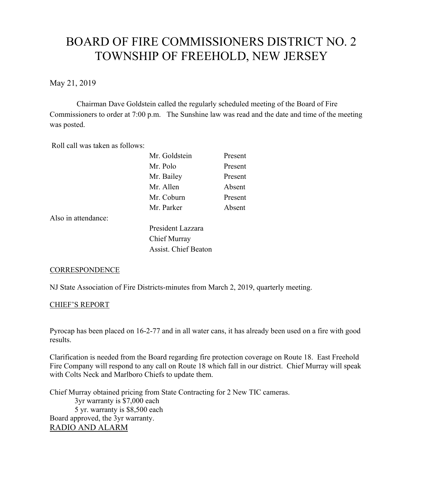# BOARD OF FIRE COMMISSIONERS DISTRICT NO. 2 TOWNSHIP OF FREEHOLD, NEW JERSEY

May 21, 2019

Chairman Dave Goldstein called the regularly scheduled meeting of the Board of Fire Commissioners to order at 7:00 p.m. The Sunshine law was read and the date and time of the meeting was posted.

Roll call was taken as follows:

| Mr. Goldstein | Present |
|---------------|---------|
| Mr. Polo      | Present |
| Mr. Bailey    | Present |
| Mr. Allen     | Absent  |
| Mr. Coburn    | Present |
| Mr. Parker    | Absent  |
|               |         |

Also in attendance:

President Lazzara Chief Murray Assist. Chief Beaton

### **CORRESPONDENCE**

NJ State Association of Fire Districts-minutes from March 2, 2019, quarterly meeting.

### CHIEF'S REPORT

Pyrocap has been placed on 16-2-77 and in all water cans, it has already been used on a fire with good results.

Clarification is needed from the Board regarding fire protection coverage on Route 18. East Freehold Fire Company will respond to any call on Route 18 which fall in our district. Chief Murray will speak with Colts Neck and Marlboro Chiefs to update them.

Chief Murray obtained pricing from State Contracting for 2 New TIC cameras. 3yr warranty is \$7,000 each 5 yr. warranty is \$8,500 each Board approved, the 3yr warranty. RADIO AND ALARM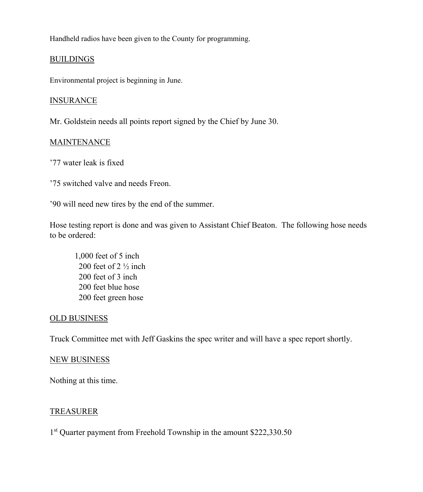Handheld radios have been given to the County for programming.

# **BUILDINGS**

Environmental project is beginning in June.

## **INSURANCE**

Mr. Goldstein needs all points report signed by the Chief by June 30.

# MAINTENANCE

'77 water leak is fixed

'75 switched valve and needs Freon.

'90 will need new tires by the end of the summer.

Hose testing report is done and was given to Assistant Chief Beaton. The following hose needs to be ordered:

1,000 feet of 5 inch 200 feet of  $2\frac{1}{2}$  inch 200 feet of 3 inch 200 feet blue hose 200 feet green hose

# OLD BUSINESS

Truck Committee met with Jeff Gaskins the spec writer and will have a spec report shortly.

# NEW BUSINESS

Nothing at this time.

# TREASURER

1<sup>st</sup> Quarter payment from Freehold Township in the amount \$222,330.50